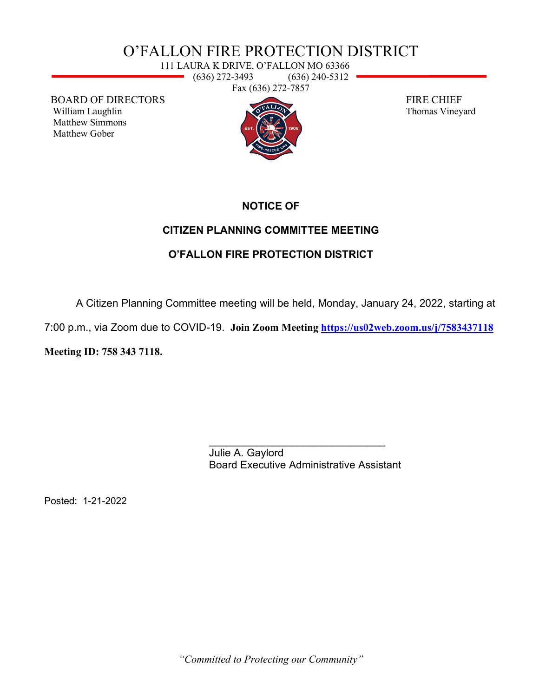# O'FALLON FIRE PROTECTION DISTRICT

111 LAURA K DRIVE, O'FALLON MO 63366 <u>e a</u> (636) 272-3493 (636) 240-5312 Fax (636) 272-7857

BOARD OF DIRECTORS FIRE CHIEF<br>William Laughlin Thomas Viney Matthew Simmons Matthew Gober



Thomas Vineyard

#### **NOTICE OF**

### **CITIZEN PLANNING COMMITTEE MEETING**

## **O'FALLON FIRE PROTECTION DISTRICT**

A Citizen Planning Committee meeting will be held, Monday, January 24, 2022, starting at

7:00 p.m., via Zoom due to COVID-19. **Join Zoom Meeting<https://us02web.zoom.us/j/7583437118>**

**Meeting ID: 758 343 7118.**

\_\_\_\_\_\_\_\_\_\_\_\_\_\_\_\_\_\_\_\_\_\_\_\_\_\_\_\_\_\_ Julie A. Gaylord Board Executive Administrative Assistant

Posted: 1-21-2022

*"Committed to Protecting our Community"*